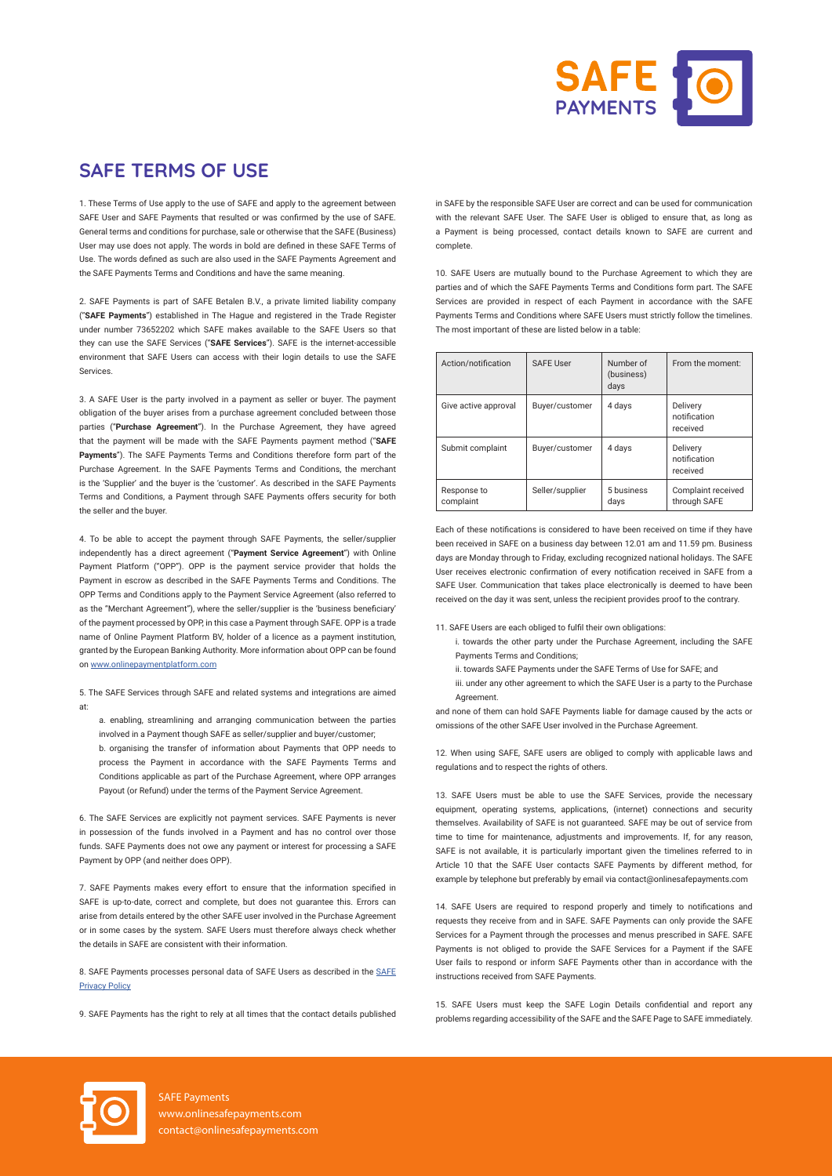

## **SAFE TERMS OF USE**

1. These Terms of Use apply to the use of SAFE and apply to the agreement between SAFE User and SAFE Payments that resulted or was confirmed by the use of SAFE. General terms and conditions for purchase, sale or otherwise that the SAFE (Business) User may use does not apply. The words in bold are defined in these SAFE Terms of Use. The words defined as such are also used in the SAFE Payments Agreement and the SAFE Payments Terms and Conditions and have the same meaning.

2. SAFE Payments is part of SAFE Betalen B.V., a private limited liability company ("**SAFE Payments**") established in The Hague and registered in the Trade Register under number 73652202 which SAFE makes available to the SAFE Users so that they can use the SAFE Services ("**SAFE Services**"). SAFE is the internet-accessible environment that SAFE Users can access with their login details to use the SAFE Services.

3. A SAFE User is the party involved in a payment as seller or buyer. The payment obligation of the buyer arises from a purchase agreement concluded between those parties ("**Purchase Agreement**"). In the Purchase Agreement, they have agreed that the payment will be made with the SAFE Payments payment method ("**SAFE Payments**"). The SAFE Payments Terms and Conditions therefore form part of the Purchase Agreement. In the SAFE Payments Terms and Conditions, the merchant is the 'Supplier' and the buyer is the 'customer'. As described in the SAFE Payments Terms and Conditions, a Payment through SAFE Payments offers security for both the seller and the buyer.

4. To be able to accept the payment through SAFE Payments, the seller/supplier independently has a direct agreement ("**Payment Service Agreement**") with Online Payment Platform ("OPP"). OPP is the payment service provider that holds the Payment in escrow as described in the SAFE Payments Terms and Conditions. The OPP Terms and Conditions apply to the Payment Service Agreement (also referred to as the "Merchant Agreement"), where the seller/supplier is the 'business beneficiary' of the payment processed by OPP, in this case a Payment through SAFE. OPP is a trade name of Online Payment Platform BV, holder of a licence as a payment institution, granted by the European Banking Authority. More information about OPP can be found on [www.onlinepaymentplatform.com](http://www.onlinepaymentplatform.com)

5. The SAFE Services through SAFE and related systems and integrations are aimed at:

a. enabling, streamlining and arranging communication between the parties involved in a Payment though SAFE as seller/supplier and buyer/customer; b. organising the transfer of information about Payments that OPP needs to process the Payment in accordance with the SAFE Payments Terms and Conditions applicable as part of the Purchase Agreement, where OPP arranges Payout (or Refund) under the terms of the Payment Service Agreement.

6. The SAFE Services are explicitly not payment services. SAFE Payments is never in possession of the funds involved in a Payment and has no control over those funds. SAFE Payments does not owe any payment or interest for processing a SAFE Payment by OPP (and neither does OPP).

7. SAFE Payments makes every effort to ensure that the information specified in SAFE is up-to-date, correct and complete, but does not guarantee this. Errors can arise from details entered by the other SAFE user involved in the Purchase Agreement or in some cases by the system. SAFE Users must therefore always check whether the details in SAFE are consistent with their information.

8. [SAFE](https://safebetalen.nl/privacy) Payments processes personal data of SAFE Users as described in the SAFE [Privacy Policy](https://safebetalen.nl/privacy)

9. SAFE Payments has the right to rely at all times that the contact details published

in SAFE by the responsible SAFE User are correct and can be used for communication with the relevant SAFE User. The SAFE User is obliged to ensure that, as long as a Payment is being processed, contact details known to SAFE are current and complete.

10. SAFE Users are mutually bound to the Purchase Agreement to which they are parties and of which the SAFE Payments Terms and Conditions form part. The SAFE Services are provided in respect of each Payment in accordance with the SAFE Payments Terms and Conditions where SAFE Users must strictly follow the timelines. The most important of these are listed below in a table:

| Action/notification      | <b>SAFE User</b> | Number of<br>(business)<br>days | From the moment:                     |
|--------------------------|------------------|---------------------------------|--------------------------------------|
| Give active approval     | Buyer/customer   | 4 days                          | Delivery<br>notification<br>received |
| Submit complaint         | Buyer/customer   | 4 days                          | Delivery<br>notification<br>received |
| Response to<br>complaint | Seller/supplier  | 5 business<br>days              | Complaint received<br>through SAFE   |

Each of these notifications is considered to have been received on time if they have been received in SAFE on a business day between 12.01 am and 11.59 pm. Business days are Monday through to Friday, excluding recognized national holidays. The SAFE User receives electronic confirmation of every notification received in SAFE from a SAFE User. Communication that takes place electronically is deemed to have been received on the day it was sent, unless the recipient provides proof to the contrary.

11. SAFE Users are each obliged to fulfil their own obligations:

- i. towards the other party under the Purchase Agreement, including the SAFE Payments Terms and Conditions;
- ii. towards SAFE Payments under the SAFE Terms of Use for SAFE; and
- iii. under any other agreement to which the SAFE User is a party to the Purchase Agreement.

and none of them can hold SAFE Payments liable for damage caused by the acts or omissions of the other SAFE User involved in the Purchase Agreement.

12. When using SAFE, SAFE users are obliged to comply with applicable laws and regulations and to respect the rights of others.

13. SAFE Users must be able to use the SAFE Services, provide the necessary equipment, operating systems, applications, (internet) connections and security themselves. Availability of SAFE is not guaranteed. SAFE may be out of service from time to time for maintenance, adjustments and improvements. If, for any reason SAFE is not available, it is particularly important given the timelines referred to in Article 10 that the SAFE User contacts SAFE Payments by different method, for example by telephone but preferably by email via contact@onlinesafepayments.com

14. SAFE Users are required to respond properly and timely to notifications and requests they receive from and in SAFE. SAFE Payments can only provide the SAFE Services for a Payment through the processes and menus prescribed in SAFE. SAFE Payments is not obliged to provide the SAFE Services for a Payment if the SAFE User fails to respond or inform SAFE Payments other than in accordance with the instructions received from SAFE Payments.

15. SAFE Users must keep the SAFE Login Details confidential and report any problems regarding accessibility of the SAFE and the SAFE Page to SAFE immediately.



SAFE Payments www.onlinesafepayments.com contact@onlinesafepayments.com